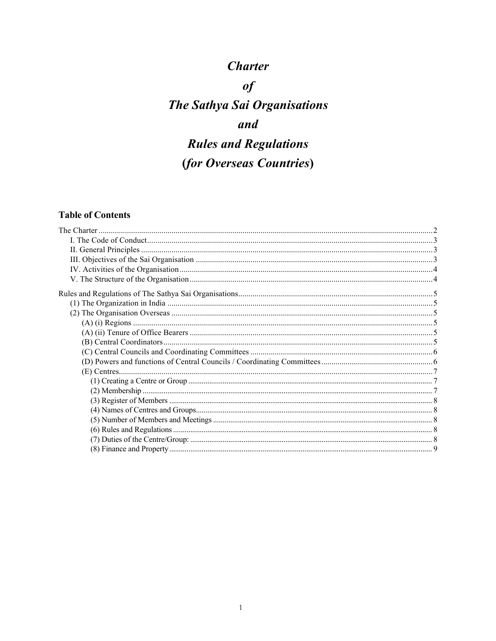# **Charter**

 $of$ 

# **The Sathya Sai Organisations** and **Rules and Regulations** (for Overseas Countries)

# **Table of Contents**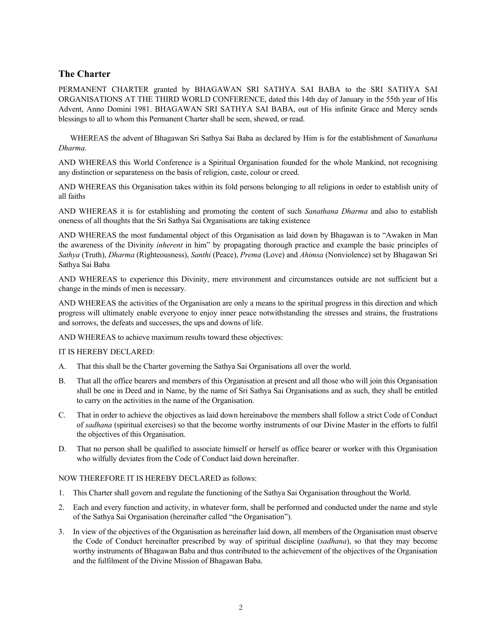# **The Charter**

PERMANENT CHARTER granted by BHAGAWAN SRI SATHYA SAI BABA to the SRI SATHYA SAI ORGANISATIONS AT THE THIRD WORLD CONFERENCE, dated this 14th day of January in the 55th year of His Advent, Anno Domini 1981. BHAGAWAN SRI SATHYA SAI BABA, out of His infinite Grace and Mercy sends blessings to all to whom this Permanent Charter shall be seen, shewed, or read.

WHEREAS the advent of Bhagawan Sri Sathya Sai Baba as declared by Him is for the establishment of *Sanathana Dharma*.

AND WHEREAS this World Conference is a Spiritual Organisation founded for the whole Mankind, not recognising any distinction or separateness on the basis of religion, caste, colour or creed.

AND WHEREAS this Organisation takes within its fold persons belonging to all religions in order to establish unity of all faiths

AND WHEREAS it is for establishing and promoting the content of such *Sanathana Dharma* and also to establish oneness of all thoughts that the Sri Sathya Sai Organisations are taking existence

AND WHEREAS the most fundamental object of this Organisation as laid down by Bhagawan is to "Awaken in Man the awareness of the Divinity *inherent* in him" by propagating thorough practice and example the basic principles of *Sathya* (Truth), *Dharma* (Righteousness), *Santhi* (Peace), *Prema* (Love) and *Ahimsa* (Nonviolence) set by Bhagawan Sri Sathya Sai Baba

AND WHEREAS to experience this Divinity, mere environment and circumstances outside are not sufficient but a change in the minds of men is necessary.

AND WHEREAS the activities of the Organisation are only a means to the spiritual progress in this direction and which progress will ultimately enable everyone to enjoy inner peace notwithstanding the stresses and strains, the frustrations and sorrows, the defeats and successes, the ups and downs of life.

AND WHEREAS to achieve maximum results toward these objectives:

IT IS HEREBY DECLARED:

- A. That this shall be the Charter governing the Sathya Sai Organisations all over the world.
- B. That all the office bearers and members of this Organisation at present and all those who will join this Organisation shall be one in Deed and in Name, by the name of Sri Sathya Sai Organisations and as such, they shall be entitled to carry on the activities in the name of the Organisation.
- C. That in order to achieve the objectives as laid down hereinabove the members shall follow a strict Code of Conduct of *sadhana* (spiritual exercises) so that the become worthy instruments of our Divine Master in the efforts to fulfil the objectives of this Organisation.
- D. That no person shall be qualified to associate himself or herself as office bearer or worker with this Organisation who wilfully deviates from the Code of Conduct laid down hereinafter.

NOW THEREFORE IT IS HEREBY DECLARED as follows:

- 1. This Charter shall govern and regulate the functioning of the Sathya Sai Organisation throughout the World.
- 2. Each and every function and activity, in whatever form, shall be performed and conducted under the name and style of the Sathya Sai Organisation (hereinafter called "the Organisation").
- 3. In view of the objectives of the Organisation as hereinafter laid down, all members of the Organisation must observe the Code of Conduct hereinafter prescribed by way of spiritual discipline (*sadhana*), so that they may become worthy instruments of Bhagawan Baba and thus contributed to the achievement of the objectives of the Organisation and the fulfilment of the Divine Mission of Bhagawan Baba.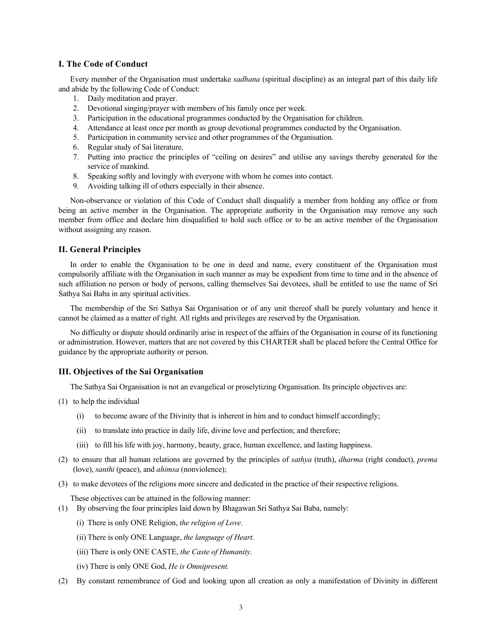# **I. The Code of Conduct**

Every member of the Organisation must undertake *sadhana* (spiritual discipline) as an integral part of this daily life and abide by the following Code of Conduct:

- 1. Daily meditation and prayer.
- 2. Devotional singing/prayer with members of his family once per week.
- 3. Participation in the educational programmes conducted by the Organisation for children.
- 4. Attendance at least once per month as group devotional programmes conducted by the Organisation.
- 5. Participation in community service and other programmes of the Organisation.
- 6. Regular study of Sai literature.
- 7. Putting into practice the principles of "ceiling on desires" and utilise any savings thereby generated for the service of mankind.
- 8. Speaking softly and lovingly with everyone with whom he comes into contact.
- 9. Avoiding talking ill of others especially in their absence.

Non-observance or violation of this Code of Conduct shall disqualify a member from holding any office or from being an active member in the Organisation. The appropriate authority in the Organisation may remove any such member from office and declare him disqualified to hold such office or to be an active member of the Organisation without assigning any reason.

# **II. General Principles**

In order to enable the Organisation to be one in deed and name, every constituent of the Organisation must compulsorily affiliate with the Organisation in such manner as may be expedient from time to time and in the absence of such affiliation no person or body of persons, calling themselves Sai devotees, shall be entitled to use the name of Sri Sathya Sai Baba in any spiritual activities.

The membership of the Sri Sathya Sai Organisation or of any unit thereof shall be purely voluntary and hence it cannot be claimed as a matter of right. All rights and privileges are reserved by the Organisation.

No difficulty or dispute should ordinarily arise in respect of the affairs of the Organisation in course of its functioning or administration. However, matters that are not covered by this CHARTER shall be placed before the Central Office for guidance by the appropriate authority or person.

# **III. Objectives of the Sai Organisation**

The Sathya Sai Organisation is not an evangelical or proselytizing Organisation. Its principle objectives are:

- (1) to help the individual
	- (i) to become aware of the Divinity that is inherent in him and to conduct himself accordingly;
	- (ii) to translate into practice in daily life, divine love and perfection; and therefore;
	- (iii) to fill his life with joy, harmony, beauty, grace, human excellence, and lasting happiness.
- (2) to ensure that all human relations are governed by the principles of *sathya* (truth), *dharma* (right conduct), *prema* (love), *santhi* (peace), and *ahimsa* (nonviolence);
- (3) to make devotees of the religions more sincere and dedicated in the practice of their respective religions.

These objectives can be attained in the following manner:

- (1) By observing the four principles laid down by Bhagawan Sri Sathya Sai Baba, namely:
	- (i) There is only ONE Religion, *the religion of Love.*
	- (ii) There is only ONE Language, *the language of Heart.*
	- (iii) There is only ONE CASTE, *the Caste of Humanity.*
	- (iv) There is only ONE God, *He is Omnipresent.*
- (2) By constant remembrance of God and looking upon all creation as only a manifestation of Divinity in different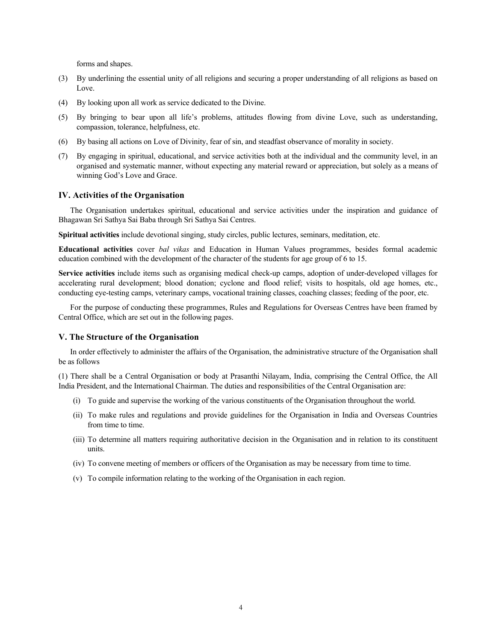forms and shapes.

- (3) By underlining the essential unity of all religions and securing a proper understanding of all religions as based on Love.
- (4) By looking upon all work as service dedicated to the Divine.
- (5) By bringing to bear upon all life's problems, attitudes flowing from divine Love, such as understanding, compassion, tolerance, helpfulness, etc.
- (6) By basing all actions on Love of Divinity, fear of sin, and steadfast observance of morality in society.
- (7) By engaging in spiritual, educational, and service activities both at the individual and the community level, in an organised and systematic manner, without expecting any material reward or appreciation, but solely as a means of winning God's Love and Grace.

# **IV. Activities of the Organisation**

The Organisation undertakes spiritual, educational and service activities under the inspiration and guidance of Bhagawan Sri Sathya Sai Baba through Sri Sathya Sai Centres.

**Spiritual activities** include devotional singing, study circles, public lectures, seminars, meditation, etc.

**Educational activities** cover *bal vikas* and Education in Human Values programmes, besides formal academic education combined with the development of the character of the students for age group of 6 to 15.

**Service activities** include items such as organising medical check-up camps, adoption of under-developed villages for accelerating rural development; blood donation; cyclone and flood relief; visits to hospitals, old age homes, etc., conducting eye-testing camps, veterinary camps, vocational training classes, coaching classes; feeding of the poor, etc.

For the purpose of conducting these programmes, Rules and Regulations for Overseas Centres have been framed by Central Office, which are set out in the following pages.

## **V. The Structure of the Organisation**

In order effectively to administer the affairs of the Organisation, the administrative structure of the Organisation shall be as follows

(1) There shall be a Central Organisation or body at Prasanthi Nilayam, India, comprising the Central Office, the All India President, and the International Chairman. The duties and responsibilities of the Central Organisation are:

- (i) To guide and supervise the working of the various constituents of the Organisation throughout the world.
- (ii) To make rules and regulations and provide guidelines for the Organisation in India and Overseas Countries from time to time.
- (iii) To determine all matters requiring authoritative decision in the Organisation and in relation to its constituent units.
- (iv) To convene meeting of members or officers of the Organisation as may be necessary from time to time.
- (v) To compile information relating to the working of the Organisation in each region.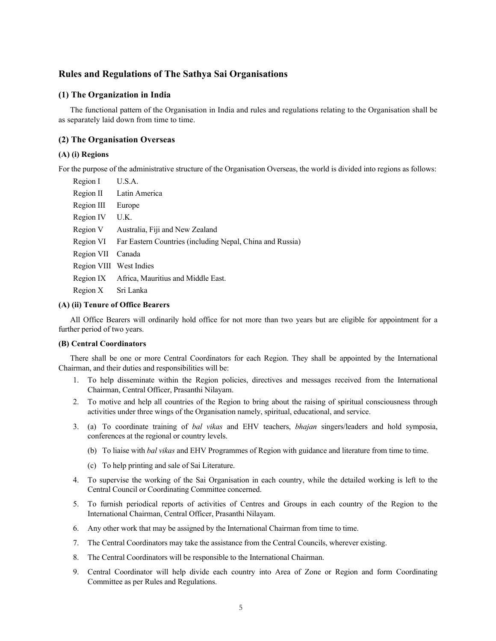# **Rules and Regulations of The Sathya Sai Organisations**

# **(1) The Organization in India**

The functional pattern of the Organisation in India and rules and regulations relating to the Organisation shall be as separately laid down from time to time.

# **(2) The Organisation Overseas**

# **(A) (i) Regions**

For the purpose of the administrative structure of the Organisation Overseas, the world is divided into regions as follows:

- Region I U.S.A.
- Region II Latin America Region III Europe Region IV U.K. Region V Australia, Fiji and New Zealand
- Region VI Far Eastern Countries (including Nepal, China and Russia)
- Region VII Canada
- Region VIII West Indies
- Region IX Africa, Mauritius and Middle East.
- Region X Sri Lanka

# **(A) (ii) Tenure of Office Bearers**

All Office Bearers will ordinarily hold office for not more than two years but are eligible for appointment for a further period of two years.

# **(B) Central Coordinators**

There shall be one or more Central Coordinators for each Region. They shall be appointed by the International Chairman, and their duties and responsibilities will be:

- 1. To help disseminate within the Region policies, directives and messages received from the International Chairman, Central Officer, Prasanthi Nilayam.
- 2. To motive and help all countries of the Region to bring about the raising of spiritual consciousness through activities under three wings of the Organisation namely, spiritual, educational, and service.
- 3. (a) To coordinate training of *bal vikas* and EHV teachers, *bhajan* singers/leaders and hold symposia, conferences at the regional or country levels.
	- (b) To liaise with *bal vikas* and EHV Programmes of Region with guidance and literature from time to time.
	- (c) To help printing and sale of Sai Literature.
- 4. To supervise the working of the Sai Organisation in each country, while the detailed working is left to the Central Council or Coordinating Committee concerned.
- 5. To furnish periodical reports of activities of Centres and Groups in each country of the Region to the International Chairman, Central Officer, Prasanthi Nilayam.
- 6. Any other work that may be assigned by the International Chairman from time to time.
- 7. The Central Coordinators may take the assistance from the Central Councils, wherever existing.
- 8. The Central Coordinators will be responsible to the International Chairman.
- 9. Central Coordinator will help divide each country into Area of Zone or Region and form Coordinating Committee as per Rules and Regulations.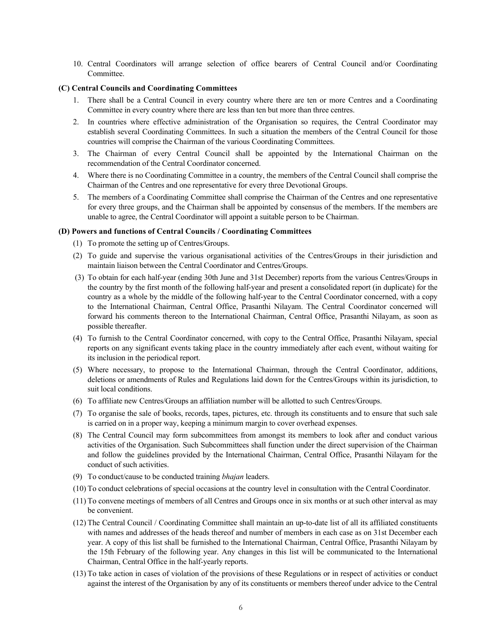10. Central Coordinators will arrange selection of office bearers of Central Council and/or Coordinating **Committee** 

# **(C) Central Councils and Coordinating Committees**

- 1. There shall be a Central Council in every country where there are ten or more Centres and a Coordinating Committee in every country where there are less than ten but more than three centres.
- 2. In countries where effective administration of the Organisation so requires, the Central Coordinator may establish several Coordinating Committees. In such a situation the members of the Central Council for those countries will comprise the Chairman of the various Coordinating Committees.
- 3. The Chairman of every Central Council shall be appointed by the International Chairman on the recommendation of the Central Coordinator concerned.
- 4. Where there is no Coordinating Committee in a country, the members of the Central Council shall comprise the Chairman of the Centres and one representative for every three Devotional Groups.
- 5. The members of a Coordinating Committee shall comprise the Chairman of the Centres and one representative for every three groups, and the Chairman shall be appointed by consensus of the members. If the members are unable to agree, the Central Coordinator will appoint a suitable person to be Chairman.

# **(D) Powers and functions of Central Councils / Coordinating Committees**

- (1) To promote the setting up of Centres/Groups.
- (2) To guide and supervise the various organisational activities of the Centres/Groups in their jurisdiction and maintain liaison between the Central Coordinator and Centres/Groups.
- (3) To obtain for each half-year (ending 30th June and 31st December) reports from the various Centres/Groups in the country by the first month of the following half-year and present a consolidated report (in duplicate) for the country as a whole by the middle of the following half-year to the Central Coordinator concerned, with a copy to the International Chairman, Central Office, Prasanthi Nilayam. The Central Coordinator concerned will forward his comments thereon to the International Chairman, Central Office, Prasanthi Nilayam, as soon as possible thereafter.
- (4) To furnish to the Central Coordinator concerned, with copy to the Central Office, Prasanthi Nilayam, special reports on any significant events taking place in the country immediately after each event, without waiting for its inclusion in the periodical report.
- (5) Where necessary, to propose to the International Chairman, through the Central Coordinator, additions, deletions or amendments of Rules and Regulations laid down for the Centres/Groups within its jurisdiction, to suit local conditions.
- (6) To affiliate new Centres/Groups an affiliation number will be allotted to such Centres/Groups.
- (7) To organise the sale of books, records, tapes, pictures, etc. through its constituents and to ensure that such sale is carried on in a proper way, keeping a minimum margin to cover overhead expenses.
- (8) The Central Council may form subcommittees from amongst its members to look after and conduct various activities of the Organisation. Such Subcommittees shall function under the direct supervision of the Chairman and follow the guidelines provided by the International Chairman, Central Office, Prasanthi Nilayam for the conduct of such activities.
- (9) To conduct/cause to be conducted training *bhajan* leaders.
- (10) To conduct celebrations of special occasions at the country level in consultation with the Central Coordinator.
- (11) To convene meetings of members of all Centres and Groups once in six months or at such other interval as may be convenient.
- (12) The Central Council / Coordinating Committee shall maintain an up-to-date list of all its affiliated constituents with names and addresses of the heads thereof and number of members in each case as on 31st December each year. A copy of this list shall be furnished to the International Chairman, Central Office, Prasanthi Nilayam by the 15th February of the following year. Any changes in this list will be communicated to the International Chairman, Central Office in the half-yearly reports.
- (13) To take action in cases of violation of the provisions of these Regulations or in respect of activities or conduct against the interest of the Organisation by any of its constituents or members thereof under advice to the Central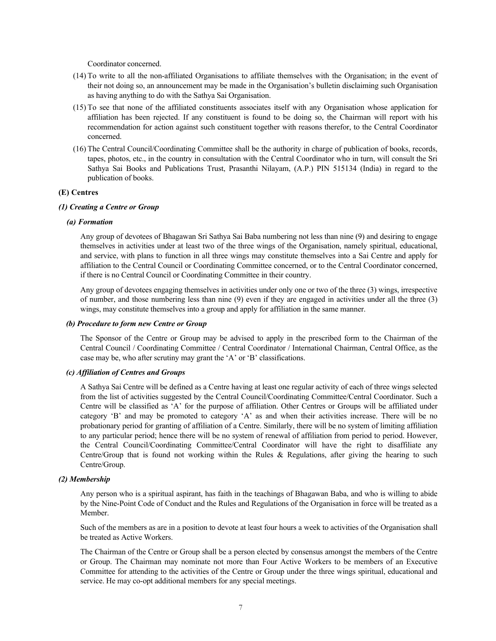Coordinator concerned.

- (14) To write to all the non-affiliated Organisations to affiliate themselves with the Organisation; in the event of their not doing so, an announcement may be made in the Organisation's bulletin disclaiming such Organisation as having anything to do with the Sathya Sai Organisation.
- (15) To see that none of the affiliated constituents associates itself with any Organisation whose application for affiliation has been rejected. If any constituent is found to be doing so, the Chairman will report with his recommendation for action against such constituent together with reasons therefor, to the Central Coordinator concerned.
- (16) The Central Council/Coordinating Committee shall be the authority in charge of publication of books, records, tapes, photos, etc., in the country in consultation with the Central Coordinator who in turn, will consult the Sri Sathya Sai Books and Publications Trust, Prasanthi Nilayam, (A.P.) PIN 515134 (India) in regard to the publication of books.

# **(E) Centres**

# *(1) Creating a Centre or Group*

#### *(a) Formation*

Any group of devotees of Bhagawan Sri Sathya Sai Baba numbering not less than nine (9) and desiring to engage themselves in activities under at least two of the three wings of the Organisation, namely spiritual, educational, and service, with plans to function in all three wings may constitute themselves into a Sai Centre and apply for affiliation to the Central Council or Coordinating Committee concerned, or to the Central Coordinator concerned, if there is no Central Council or Coordinating Committee in their country.

Any group of devotees engaging themselves in activities under only one or two of the three (3) wings, irrespective of number, and those numbering less than nine (9) even if they are engaged in activities under all the three (3) wings, may constitute themselves into a group and apply for affiliation in the same manner.

# *(b) Procedure to form new Centre or Group*

The Sponsor of the Centre or Group may be advised to apply in the prescribed form to the Chairman of the Central Council / Coordinating Committee / Central Coordinator / International Chairman, Central Office, as the case may be, who after scrutiny may grant the 'A' or 'B' classifications.

# *(c) Affiliation of Centres and Groups*

A Sathya Sai Centre will be defined as a Centre having at least one regular activity of each of three wings selected from the list of activities suggested by the Central Council/Coordinating Committee/Central Coordinator. Such a Centre will be classified as 'A' for the purpose of affiliation. Other Centres or Groups will be affiliated under category 'B' and may be promoted to category 'A' as and when their activities increase. There will be no probationary period for granting of affiliation of a Centre. Similarly, there will be no system of limiting affiliation to any particular period; hence there will be no system of renewal of affiliation from period to period. However, the Central Council/Coordinating Committee/Central Coordinator will have the right to disaffiliate any Centre/Group that is found not working within the Rules & Regulations, after giving the hearing to such Centre/Group.

# *(2) Membership*

Any person who is a spiritual aspirant, has faith in the teachings of Bhagawan Baba, and who is willing to abide by the Nine-Point Code of Conduct and the Rules and Regulations of the Organisation in force will be treated as a Member.

Such of the members as are in a position to devote at least four hours a week to activities of the Organisation shall be treated as Active Workers.

The Chairman of the Centre or Group shall be a person elected by consensus amongst the members of the Centre or Group. The Chairman may nominate not more than Four Active Workers to be members of an Executive Committee for attending to the activities of the Centre or Group under the three wings spiritual, educational and service. He may co-opt additional members for any special meetings.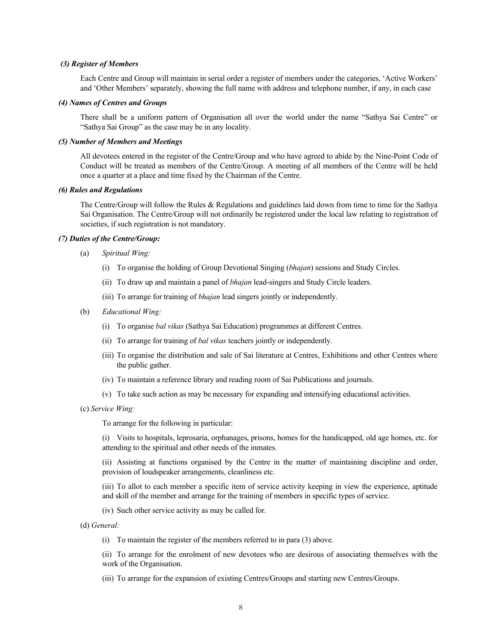# *(3) Register of Members*

Each Centre and Group will maintain in serial order a register of members under the categories, 'Active Workers' and 'Other Members' separately, showing the full name with address and telephone number, if any, in each case

### *(4) Names of Centres and Groups*

There shall be a uniform pattern of Organisation all over the world under the name "Sathya Sai Centre" or "Sathya Sai Group" as the case may be in any locality.

# *(5) Number of Members and Meetings*

All devotees entered in the register of the Centre/Group and who have agreed to abide by the Nine-Point Code of Conduct will be treated as members of the Centre/Group. A meeting of all members of the Centre will be held once a quarter at a place and time fixed by the Chairman of the Centre.

#### *(6) Rules and Regulations*

The Centre/Group will follow the Rules & Regulations and guidelines laid down from time to time for the Sathya Sai Organisation. The Centre/Group will not ordinarily be registered under the local law relating to registration of societies, if such registration is not mandatory.

#### *(7) Duties of the Centre/Group:*

- (a) *Spiritual Wing:*
	- (i) To organise the holding of Group Devotional Singing (*bhajan*) sessions and Study Circles.
	- (ii) To draw up and maintain a panel of *bhajan* lead-singers and Study Circle leaders.
	- (iii) To arrange for training of *bhajan* lead singers jointly or independently.
- (b) *Educational Wing:*
	- (i) To organise *bal vikas* (Sathya Sai Education) programmes at different Centres.
	- (ii) To arrange for training of *bal vikas* teachers jointly or independently.
	- (iii) To organise the distribution and sale of Sai literature at Centres, Exhibitions and other Centres where the public gather.
	- (iv) To maintain a reference library and reading room of Sai Publications and journals.
	- (v) To take such action as may be necessary for expanding and intensifying educational activities.

(c) *Service Wing:*

To arrange for the following in particular:

(i) Visits to hospitals, leprosaria, orphanages, prisons, homes for the handicapped, old age homes, etc. for attending to the spiritual and other needs of the inmates.

(ii) Assisting at functions organised by the Centre in the matter of maintaining discipline and order, provision of loudspeaker arrangements, cleanliness etc.

(iii) To allot to each member a specific item of service activity keeping in view the experience, aptitude and skill of the member and arrange for the training of members in specific types of service.

- (iv) Such other service activity as may be called for.
- (d) *General:*
	- (i) To maintain the register of the members referred to in para (3) above.

(ii) To arrange for the enrolment of new devotees who are desirous of associating themselves with the work of the Organisation.

(iii) To arrange for the expansion of existing Centres/Groups and starting new Centres/Groups.